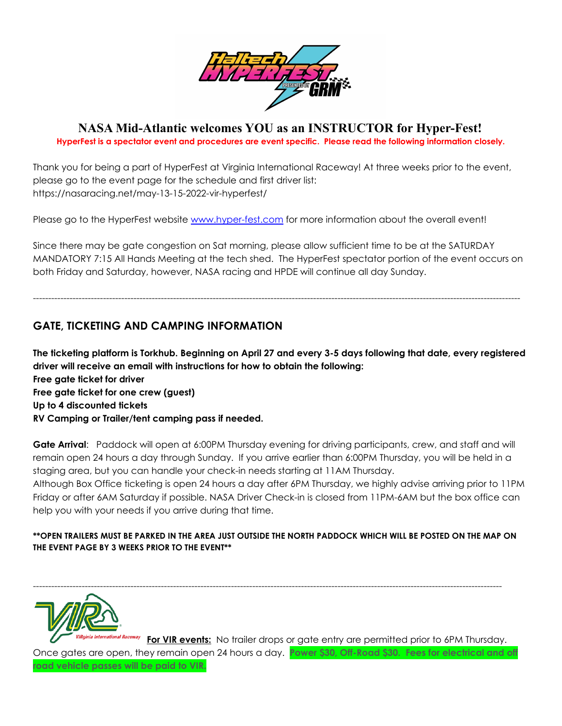

## **NASA Mid-Atlantic welcomes YOU as an INSTRUCTOR for Hyper-Fest!**

**HyperFest is a spectator event and procedures are event specific. Please read the following information closely.**

Thank you for being a part of HyperFest at Virginia International Raceway! At three weeks prior to the event, please go to the event page for the schedule and first driver list: https://nasaracing.net/may-13-15-2022-vir-hyperfest/

Please go to the HyperFest website [www.hyper-fest.com](http://www.hyper-fest.com) for more information about the overall event!

Since there may be gate congestion on Sat morning, please allow sufficient time to be at the SATURDAY MANDATORY 7:15 All Hands Meeting at the tech shed. The HyperFest spectator portion of the event occurs on both Friday and Saturday, however, NASA racing and HPDE will continue all day Sunday.

----------------------------------------------------------------------------------------------------------------------------------------------------------------

## **GATE, TICKETING AND CAMPING INFORMATION**

The ticketing platform is Torkhub. Beginning on April 27 and every 3-5 days following that date, every registered **driver will receive an email with instructions for how to obtain the following: Free gate ticket for driver Free gate ticket for one crew (guest) Up to 4 discounted tickets RV Camping or Trailer/tent camping pass if needed.**

**Gate Arrival**: Paddock will open at 6:00PM Thursday evening for driving participants, crew, and staff and will remain open 24 hours a day through Sunday. If you arrive earlier than 6:00PM Thursday, you will be held in a staging area, but you can handle your check-in needs starting at 11AM Thursday.

Although Box Office ticketing is open 24 hours a day after 6PM Thursday, we highly advise arriving prior to 11PM Friday or after 6AM Saturday if possible. NASA Driver Check-in is closed from 11PM-6AM but the box office can help you with your needs if you arrive during that time.

#### **\*\*OPEN TRAILERS MUST BE PARKED IN THE AREA JUST OUTSIDE THE NORTH PADDOCK WHICH WILL BE POSTED ON THE MAP ON THE EVENT PAGE BY 3 WEEKS PRIOR TO THE EVENT\*\***

----------------------------------------------------------------------------------------------------------------------------------------------------------



**For VIR events:** No trailer drops or gate entry are permitted prior to 6PM Thursday. Once gates are open, they remain open 24 hours a day. **Power \$30, Off-Road \$30. Fees for electrical and off road vehicle passes will be paid to VIR.**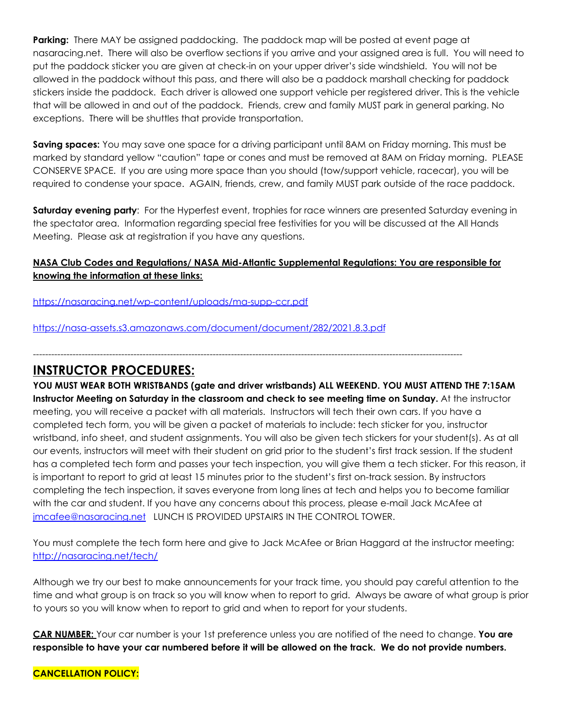**Parking:** There MAY be assigned paddocking. The paddock map will be posted at event page at nasaracing.net. There will also be overflow sections if you arrive and your assigned area is full. You will need to put the paddock sticker you are given at check-in on your upper driver's side windshield. You will not be allowed in the paddock without this pass, and there will also be a paddock marshall checking for paddock stickers inside the paddock. Each driver is allowed one support vehicle per registered driver. This is the vehicle that will be allowed in and out of the paddock. Friends, crew and family MUST park in general parking. No exceptions. There will be shuttles that provide transportation.

**Saving spaces:** You may save one space for a driving participant until 8AM on Friday morning. This must be marked by standard yellow "caution" tape or cones and must be removed at 8AM on Friday morning. PLEASE CONSERVE SPACE. If you are using more space than you should (tow/support vehicle, racecar), you will be required to condense your space. AGAIN, friends, crew, and family MUST park outside of the race paddock.

**Saturday evening party**: For the Hyperfest event, trophies for race winners are presented Saturday evening in the spectator area. Information regarding special free festivities for you will be discussed at the All Hands Meeting. Please ask at registration if you have any questions.

### **NASA Club Codes and Regulations/ NASA Mid-Atlantic Supplemental Regulations: You are responsible for knowing the information at these links:**

<https://nasaracing.net/wp-content/uploads/ma-supp-ccr.pdf>

<https://nasa-assets.s3.amazonaws.com/document/document/282/2021.8.3.pdf>

---------------------------------------------------------------------------------------------------------------------------------------------

# **INSTRUCTOR PROCEDURES:**

**YOU MUST WEAR BOTH WRISTBANDS (gate and driver wristbands) ALL WEEKEND. YOU MUST ATTEND THE 7:15AM Instructor Meeting on Saturday in the classroom and check to see meeting time on Sunday.** At the instructor meeting, you will receive a packet with all materials. Instructors will tech their own cars. If you have a completed tech form, you will be given a packet of materials to include: tech sticker for you, instructor wristband, info sheet, and student assignments. You will also be given tech stickers for your student(s). As at all our events, instructors will meet with their student on grid prior to the student's first track session. If the student has a completed tech form and passes your tech inspection, you will give them a tech sticker. For this reason, it is important to report to grid at least 15 minutes prior to the student's first on-track session. By instructors completing the tech inspection, it saves everyone from long lines at tech and helps you to become familiar with the car and student. If you have any concerns about this process, please e-mail Jack McAfee at [jmcafee@nasaracing.net](mailto:jmcafee@nasaracing.net) LUNCH IS PROVIDED UPSTAIRS IN THE CONTROL TOWER.

You must complete the tech form here and give to Jack McAfee or Brian Haggard at the instructor meeting: <http://nasaracing.net/tech/>

Although we try our best to make announcements for your track time, you should pay careful attention to the time and what group is on track so you will know when to report to grid. Always be aware of what group is prior to yours so you will know when to report to grid and when to report for your students.

**CAR NUMBER:** Your car number is your 1st preference unless you are notified of the need to change. **You are** responsible to have your car numbered before it will be allowed on the track. We do not provide numbers.

**CANCELLATION POLICY:**